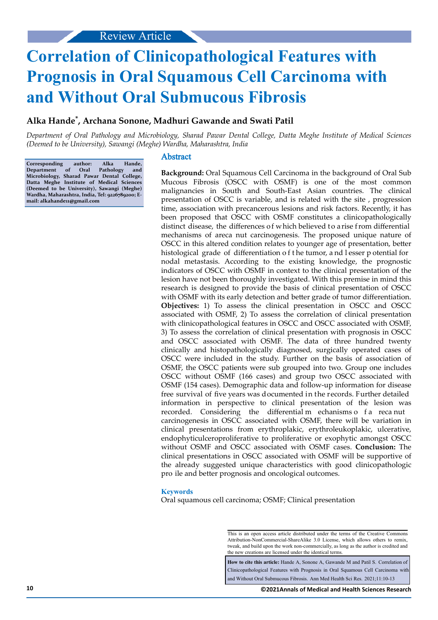# **Correlation of Clinicopathological Features with Prognosis in Oral Squamous Cell Carcinoma with and Without Oral Submucous Fibrosis**

# **Alka Hande\* , Archana Sonone, Madhuri Gawande and Swati Patil**

*Department of Oral Pathology and Microbiology, Sharad Pawar Dental College, Datta Meghe Institute of Medical Sciences (Deemed to be University), Sawangi (Meghe) Wardha, Maharashtra, India*

**Corresponding author: Alka Hande, Department of Oral Pathology and Microbiology, Sharad Pawar Dental College, Datta Meghe Institute of Medical Sciences (Deemed to be University), Sawangi (Meghe) Wardha, Maharashtra, India, Tel: 9226789200; Email: alkahande11@gmail.com**

#### Abstract

**Background:** Oral Squamous Cell Carcinoma in the background of Oral Sub Mucous Fibrosis (OSCC with OSMF) is one of the most common malignancies in South and South-East Asian countries. The clinical presentation of OSCC is variable, and is related with the site , progression time, association with precancerous lesions and risk factors. Recently, it has been proposed that OSCC with OSMF constitutes a clinicopathologically distinct disease, the differences of which believed to arise from differential mechanisms of areca nut carcinogenesis. The proposed unique nature of OSCC in this altered condition relates to younger age of presentation, better histological grade of differentiation of the tumor, and lesser potential for nodal metastasis. According to the existing knowledge, the prognostic indicators of OSCC with OSMF in context to the clinical presentation of the lesion have not been thoroughly investigated. With this premise in mind this research is designed to provide the basis of clinical presentation of OSCC with OSMF with its early detection and better grade of tumor differentiation. **Objectives:** 1) To assess the clinical presentation in OSCC and OSCC associated with OSMF, 2) To assess the correlation of clinical presentation with clinicopathological features in OSCC and OSCC associated with OSMF, 3) To assess the correlation of clinical presentation with prognosis in OSCC and OSCC associated with OSMF. The data of three hundred twenty clinically and histopathologically diagnosed, surgically operated cases of OSCC were included in the study. Further on the basis of association of OSMF, the OSCC patients were sub grouped into two. Group one includes OSCC without OSMF (166 cases) and group two OSCC associated with OSMF (154 cases). Demographic data and follow-up information for disease free survival of five years was documented in the records. Further detailed information in perspective to clinical presentation of the lesion was recorded. Considering the differential m echanisms o f a reca nut carcinogenesis in OSCC associated with OSMF, there will be variation in clinical presentations from erythroplakic, erythroleukoplakic, ulcerative, endophyticulceroproliferative to proliferative or exophytic amongst OSCC without OSMF and OSCC associated with OSMF cases. **Conclusion:** The clinical presentations in OSCC associated with OSMF will be supportive of the already suggested unique characteristics with good clinicopathologic pro ile and better prognosis and oncological outcomes.

#### **Keywords**

Oral squamous cell carcinoma; OSMF; Clinical presentation

**How to cite this article:** Hande A, Sonone A, Gawande M and Patil S. Correlation of Clinicopathological Features with Prognosis in Oral Squamous Cell Carcinoma with and Without Oral Submucous Fibrosis. Ann Med Health Sci Res. 2021;11:10-13

This is an open access article distributed under the terms of the Creative Commons Attribution-NonCommercial-ShareAlike 3.0 License, which allows others to remix, tweak, and build upon the work non‑commercially, as long as the author is credited and the new creations are licensed under the identical terms.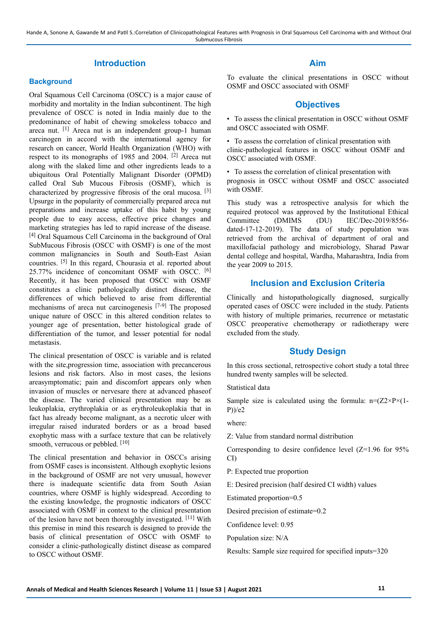# **Introduction**

#### **Background**

Oral Squamous Cell Carcinoma (OSCC) is a major cause of morbidity and mortality in the Indian subcontinent. The high prevalence of OSCC is noted in India mainly due to the predominance of habit of chewing smokeless tobacco and areca nut. <sup>[1]</sup> Areca nut is an independent group-1 human carcinogen in accord with the international agency for research on cancer, World Health Organization (WHO) with respect to its monographs of 1985 and 2004. [2] Areca nut along with the slaked lime and other ingredients leads to a ubiquitous Oral Potentially Malignant Disorder (OPMD) called Oral Sub Mucous Fibrosis (OSMF), which is characterized by progressive fibrosis of the oral mucosa. [3] Upsurge in the popularity of commercially prepared areca nut preparations and increase uptake of this habit by young people due to easy access, effective price changes and marketing strategies has led to rapid increase of the disease. [4] Oral Squamous Cell Carcinoma in the background of Oral SubMucous Fibrosis (OSCC with OSMF) is one of the most common malignancies in South and South-East Asian countries. [5] In this regard, Chourasia et al. reported about 25.77% incidence of concomitant OSMF with OSCC. [6] Recently, it has been proposed that OSCC with OSMF constitutes a clinic pathologically distinct disease, the differences of which believed to arise from differential mechanisms of areca nut carcinogenesis [7-9] The proposed unique nature of OSCC in this altered condition relates to younger age of presentation, better histological grade of differentiation of the tumor, and lesser potential for nodal metastasis.

The clinical presentation of OSCC is variable and is related with the site,progression time, association with precancerous lesions and risk factors. Also in most cases, the lesions areasymptomatic; pain and discomfort appears only when invasion of muscles or nervesare there at advanced phaseof the disease. The varied clinical presentation may be as leukoplakia, erythroplakia or as erythroleukoplakia that in fact has already become malignant, as a necrotic ulcer with irregular raised indurated borders or as a broad based exophytic mass with a surface texture that can be relatively smooth, verrucous or pebbled. [10]

The clinical presentation and behavior in OSCCs arising from OSMF cases is inconsistent. Although exophytic lesions in the background of OSMF are not very unusual, however there is inadequate scientific data from South Asian countries, where OSMF is highly widespread. According to the existing knowledge, the prognostic indicators of OSCC associated with OSMF in context to the clinical presentation of the lesion have not been thoroughly investigated. [11] With this premise in mind this research is designed to provide the basis of clinical presentation of OSCC with OSMF to consider a clinic-pathologically distinct disease as compared to OSCC without OSMF.

# **Aim**

To evaluate the clinical presentations in OSCC without OSMF and OSCC associated with OSMF

### **Objectives**

• To assess the clinical presentation in OSCC without OSMF and OSCC associated with OSMF.

• To assess the correlation of clinical presentation with clinic-pathological features in OSCC without OSMF and OSCC associated with OSMF.

• To assess the correlation of clinical presentation with prognosis in OSCC without OSMF and OSCC associated with OSMF.

This study was a retrospective analysis for which the required protocol was approved by the Institutional Ethical Committee (DMIMS (DU) IEC/Dec-2019/8556 dated-17-12-2019). The data of study population was retrieved from the archival of department of oral and maxillofacial pathology and microbiology, Sharad Pawar dental college and hospital, Wardha, Maharashtra, India from the year 2009 to 2015.

# **Inclusion and Exclusion Criteria**

Clinically and histopathologically diagnosed, surgically operated cases of OSCC were included in the study. Patients with history of multiple primaries, recurrence or metastatic OSCC preoperative chemotherapy or radiotherapy were excluded from the study.

# **Study Design**

In this cross sectional, retrospective cohort study a total three hundred twenty samples will be selected.

# Statistical data

Sample size is calculated using the formula:  $n=(Z2\times P\times (1-\frac{1}{2})\times P\times (1-\frac{1}{2})\times P\times (1-\frac{1}{2})\times P\times (1-\frac{1}{2})$ P))/e2

where:

Z: Value from standard normal distribution

Corresponding to desire confidence level (Z=1.96 for 95% CI)

P: Expected true proportion

E: Desired precision (half desired CI width) values

Estimated proportion=0.5

Desired precision of estimate=0.2

Confidence level: 0.95

Population size: N/A

Results: Sample size required for specified inputs=320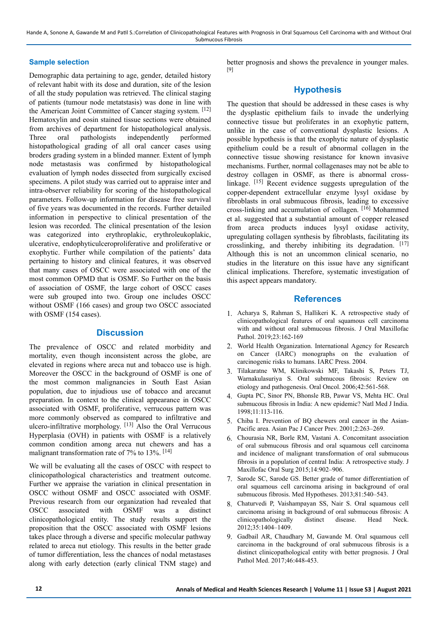Hande A, Sonone A, Gawande M and Patil S.:Correlation of Clinicopathological Features with Prognosis in Oral Squamous Cell Carcinoma with and Without Oral Submucous Fibrosis

#### **Sample selection**

Demographic data pertaining to age, gender, detailed history of relevant habit with its dose and duration, site of the lesion of all the study population was retrieved. The clinical staging of patients (tumour node metatstasis) was done in line with the American Joint Committee of Cancer staging system. [12] Hematoxylin and eosin stained tissue sections were obtained from archives of department for histopathological analysis. Three oral pathologists independently performed histopathological grading of all oral cancer cases using broders grading system in a blinded manner. Extent of lymph node metastasis was confirmed by histopathological evaluation of lymph nodes dissected from surgically excised specimens. A pilot study was carried out to appraise inter and intra-observer reliability for scoring of the histopathological parameters. Follow-up information for disease free survival of five years was documented in the records. Further detailed information in perspective to clinical presentation of the lesion was recorded. The clinical presentation of the lesion was categorized into erythroplakic, erythroleukoplakic, ulcerative, endophyticulceroproliferative and proliferative or exophytic. Further while compilation of the patients' data pertaining to history and clinical features, it was observed that many cases of OSCC were associated with one of the most common OPMD that is OSMF. So Further on the basis of association of OSMF, the large cohort of OSCC cases were sub grouped into two. Group one includes OSCC without OSMF (166 cases) and group two OSCC associated with OSMF (154 cases).

#### **Discussion**

The prevalence of OSCC and related morbidity and mortality, even though inconsistent across the globe, are elevated in regions where areca nut and tobacco use is high. Moreover the OSCC in the background of OSMF is one of the most common malignancies in South East Asian population, due to injudious use of tobacco and arecanut preparation. In context to the clinical appearance in OSCC associated with OSMF, proliferative, verrucous pattern was more commonly observed as compared to infiltrative and ulcero-infiltrative morphology. [13] Also the Oral Verrucous Hyperplasia (OVH) in patients with OSMF is a relatively common condition among areca nut chewers and has a malignant transformation rate of 7% to 13%. [14]

We will be evaluating all the cases of OSCC with respect to clinicopathological characteristics and treatment outcome. Further we appraise the variation in clinical presentation in OSCC without OSMF and OSCC associated with OSMF. Previous research from our organization had revealed that OSCC associated with OSMF was a distinct clinicopathological entity. The study results support the proposition that the OSCC associated with OSMF lesions takes place through a diverse and specific molecular pathway related to areca nut etiology. This results in the better grade of tumor differentiation, less the chances of nodal metastases along with early detection (early clinical TNM stage) and better prognosis and shows the prevalence in younger males. [9]

# **Hypothesis**

The question that should be addressed in these cases is why the dysplastic epithelium fails to invade the underlying connective tissue but proliferates in an exophytic pattern, unlike in the case of conventional dysplastic lesions. A possible hypothesis is that the exophytic nature of dysplastic epithelium could be a result of abnormal collagen in the connective tissue showing resistance for known invasive mechanisms. Further, normal collagenases may not be able to destroy collagen in OSMF, as there is abnormal crosslinkage. [15] Recent evidence suggests upregulation of the copper-dependent extracellular enzyme lysyl oxidase by fibroblasts in oral submucous fibrosis, leading to excessive cross-linking and accumulation of collagen. [16] Mohammed et al. suggested that a substantial amount of copper released from areca products induces lysyl oxidase activity, upregulating collagen synthesis by fibroblasts, facilitating its crosslinking, and thereby inhibiting its degradation. [17] Although this is not an uncommon clinical scenario, no studies in the literature on this issue have any significant clinical implications. Therefore, systematic investigation of this aspect appears mandatory.

#### **References**

- 1. Acharya S, Rahman S, Hallikeri K. A retrospective study of clinicopathological features of oral squamous cell carcinoma with and without oral submucous fibrosis. J Oral Maxillofac Pathol. 2019;23:162-169
- 2. World Health Organization. International Agency for Research on Cancer (IARC) monographs on the evaluation of carcinogenic risks to humans. IARC Press. 2004.
- 3. Tilakaratne WM, Klinikowski MF, Takashi S, Peters TJ, Warnakulasuriya S. Oral submucous fibrosis: Review on etiology and pathogenesis. Oral Oncol. 2006;42:561-568.
- 4. Gupta PC, Sinor PN, Bhonsle RB, Pawar VS, Mehta HC. Oral submucous fibrosis in India: A new epidemic? Natl Med J India. 1998;11:113-116.
- 5. Chiba I. Prevention of BQ chewers oral cancer in the Asian-Pacific area. Asian Pac J Cancer Prev. 2001;2:263–269.
- 6. Chourasia NR, Borle RM, Vastani A. Concomitant association of oral submucous fibrosis and oral squamous cell carcinoma and incidence of malignant transformation of oral submucous fibrosis in a population of central India: A retrospective study. J Maxillofac Oral Surg 2015;14:902–906.
- 7. Sarode SC, Sarode GS. Better grade of tumor differentiation of oral squamous cell carcinoma arising in background of oral submucous fibrosis. Med Hypotheses. 2013;81:540–543.
- 8. Chaturvedi P, Vaishampayan SS, Nair S. Oral squamous cell carcinoma arising in background of oral submucous fibrosis: A clinicopathologically distinct disease. Head Neck. 2012;35:1404–1409.
- 9. Gadbail AR, Chaudhary M, Gawande M. Oral squamous cell carcinoma in the background of oral submucous fibrosis is a distinct clinicopathological entity with better prognosis. J Oral Pathol Med. 2017;46:448-453.